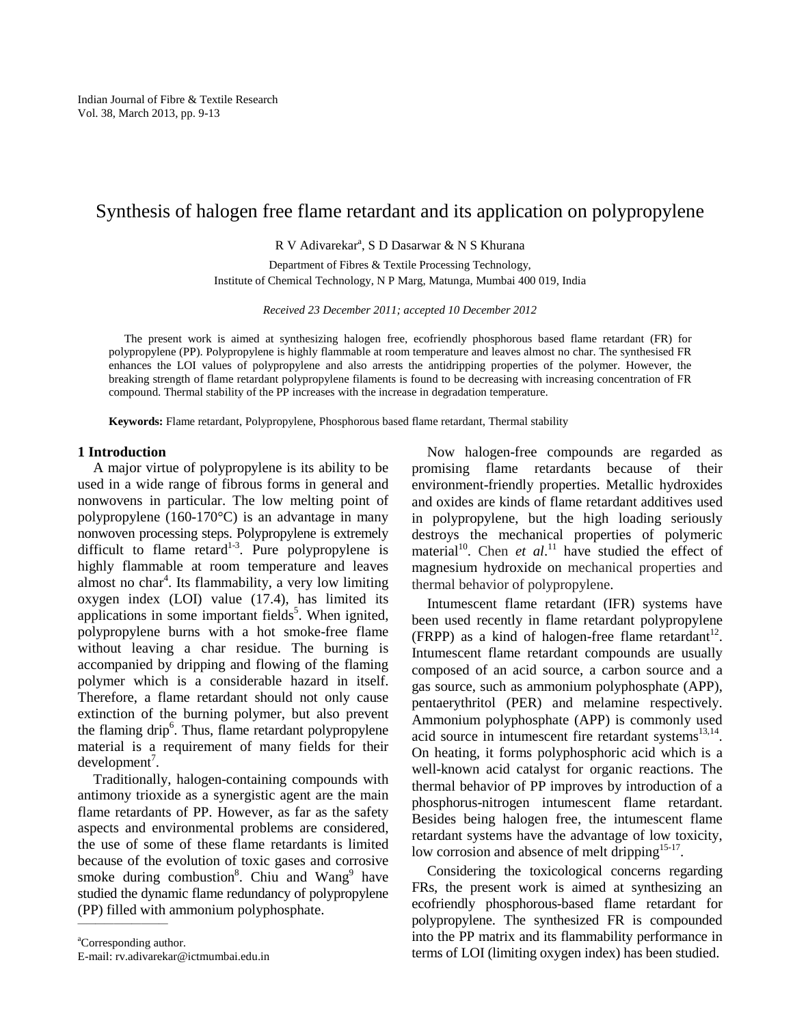# Synthesis of halogen free flame retardant and its application on polypropylene

R V Adivarekar<sup>a</sup>, S D Dasarwar & N S Khurana

Department of Fibres & Textile Processing Technology, Institute of Chemical Technology, N P Marg, Matunga, Mumbai 400 019, India

*Received 23 December 2011; accepted 10 December 2012* 

The present work is aimed at synthesizing halogen free, ecofriendly phosphorous based flame retardant (FR) for polypropylene (PP). Polypropylene is highly flammable at room temperature and leaves almost no char. The synthesised FR enhances the LOI values of polypropylene and also arrests the antidripping properties of the polymer. However, the breaking strength of flame retardant polypropylene filaments is found to be decreasing with increasing concentration of FR compound. Thermal stability of the PP increases with the increase in degradation temperature.

**Keywords:** Flame retardant, Polypropylene, Phosphorous based flame retardant, Thermal stability

# **1 Introduction**

A major virtue of polypropylene is its ability to be used in a wide range of fibrous forms in general and nonwovens in particular. The low melting point of polypropylene (160-170°C) is an advantage in many nonwoven processing steps. Polypropylene is extremely difficult to flame retard<sup>1-3</sup>. Pure polypropylene is highly flammable at room temperature and leaves almost no char<sup>4</sup>. Its flammability, a very low limiting oxygen index (LOI) value (17.4), has limited its applications in some important fields<sup>5</sup>. When ignited, polypropylene burns with a hot smoke-free flame without leaving a char residue. The burning is accompanied by dripping and flowing of the flaming polymer which is a considerable hazard in itself. Therefore, a flame retardant should not only cause extinction of the burning polymer, but also prevent the flaming drip<sup>6</sup>. Thus, flame retardant polypropylene material is a requirement of many fields for their  $d$ evelopment<sup>7</sup>.

Traditionally, halogen-containing compounds with antimony trioxide as a synergistic agent are the main flame retardants of PP. However, as far as the safety aspects and environmental problems are considered, the use of some of these flame retardants is limited because of the evolution of toxic gases and corrosive smoke during combustion<sup>8</sup>. Chiu and Wang<sup>9</sup> have studied the dynamic flame redundancy of polypropylene (PP) filled with ammonium polyphosphate.

<sup>a</sup>Corresponding author. E-mail: rv.adivarekar@ictmumbai.edu.in

——————————

Now halogen-free compounds are regarded as promising flame retardants because of their environment-friendly properties. Metallic hydroxides and oxides are kinds of flame retardant additives used in polypropylene, but the high loading seriously destroys the mechanical properties of polymeric material<sup>10</sup>. Chen *et al*.<sup>11</sup> have studied the effect of magnesium hydroxide on mechanical properties and thermal behavior of polypropylene.

Intumescent flame retardant (IFR) systems have been used recently in flame retardant polypropylene (FRPP) as a kind of halogen-free flame retardant $12$ . Intumescent flame retardant compounds are usually composed of an acid source, a carbon source and a gas source, such as ammonium polyphosphate (APP), pentaerythritol (PER) and melamine respectively. Ammonium polyphosphate (APP) is commonly used acid source in intumescent fire retardant systems $^{13,14}$ . On heating, it forms polyphosphoric acid which is a well-known acid catalyst for organic reactions. The thermal behavior of PP improves by introduction of a phosphorus-nitrogen intumescent flame retardant. Besides being halogen free, the intumescent flame retardant systems have the advantage of low toxicity, low corrosion and absence of melt dripping<sup>15-17</sup>.

Considering the toxicological concerns regarding FRs, the present work is aimed at synthesizing an ecofriendly phosphorous-based flame retardant for polypropylene. The synthesized FR is compounded into the PP matrix and its flammability performance in terms of LOI (limiting oxygen index) has been studied.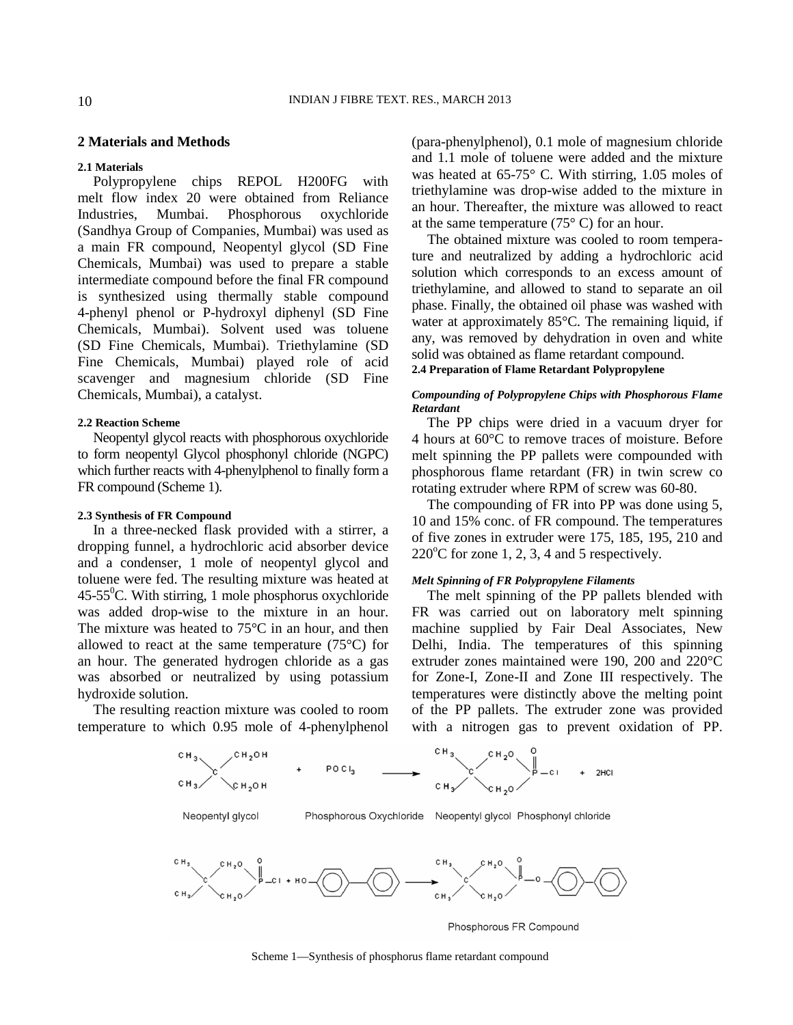# **2 Materials and Methods**

#### **2.1 Materials**

Polypropylene chips REPOL H200FG with melt flow index 20 were obtained from Reliance Industries, Mumbai. Phosphorous oxychloride (Sandhya Group of Companies, Mumbai) was used as a main FR compound, Neopentyl glycol (SD Fine Chemicals, Mumbai) was used to prepare a stable intermediate compound before the final FR compound is synthesized using thermally stable compound 4-phenyl phenol or P-hydroxyl diphenyl (SD Fine Chemicals, Mumbai). Solvent used was toluene (SD Fine Chemicals, Mumbai). Triethylamine (SD Fine Chemicals, Mumbai) played role of acid scavenger and magnesium chloride (SD Fine Chemicals, Mumbai), a catalyst.

# **2.2 Reaction Scheme**

Neopentyl glycol reacts with phosphorous oxychloride to form neopentyl Glycol phosphonyl chloride (NGPC) which further reacts with 4-phenylphenol to finally form a FR compound (Scheme 1).

## **2.3 Synthesis of FR Compound**

In a three-necked flask provided with a stirrer, a dropping funnel, a hydrochloric acid absorber device and a condenser, 1 mole of neopentyl glycol and toluene were fed. The resulting mixture was heated at  $45-55^{\circ}$ C. With stirring, 1 mole phosphorus oxychloride was added drop-wise to the mixture in an hour. The mixture was heated to 75°C in an hour, and then allowed to react at the same temperature (75°C) for an hour. The generated hydrogen chloride as a gas was absorbed or neutralized by using potassium hydroxide solution.

The resulting reaction mixture was cooled to room temperature to which 0.95 mole of 4-phenylphenol (para-phenylphenol), 0.1 mole of magnesium chloride and 1.1 mole of toluene were added and the mixture was heated at 65-75° C. With stirring, 1.05 moles of triethylamine was drop-wise added to the mixture in an hour. Thereafter, the mixture was allowed to react at the same temperature  $(75^{\circ} \text{ C})$  for an hour.

The obtained mixture was cooled to room temperature and neutralized by adding a hydrochloric acid solution which corresponds to an excess amount of triethylamine, and allowed to stand to separate an oil phase. Finally, the obtained oil phase was washed with water at approximately 85°C. The remaining liquid, if any, was removed by dehydration in oven and white solid was obtained as flame retardant compound.

**2.4 Preparation of Flame Retardant Polypropylene** 

# *Compounding of Polypropylene Chips with Phosphorous Flame Retardant*

The PP chips were dried in a vacuum dryer for 4 hours at 60°C to remove traces of moisture. Before melt spinning the PP pallets were compounded with phosphorous flame retardant (FR) in twin screw co rotating extruder where RPM of screw was 60-80.

The compounding of FR into PP was done using 5, 10 and 15% conc. of FR compound. The temperatures of five zones in extruder were 175, 185, 195, 210 and  $220^{\circ}$ C for zone 1, 2, 3, 4 and 5 respectively.

## *Melt Spinning of FR Polypropylene Filaments*

The melt spinning of the PP pallets blended with FR was carried out on laboratory melt spinning machine supplied by Fair Deal Associates, New Delhi, India. The temperatures of this spinning extruder zones maintained were 190, 200 and 220°C for Zone-I, Zone-II and Zone III respectively. The temperatures were distinctly above the melting point of the PP pallets. The extruder zone was provided with a nitrogen gas to prevent oxidation of PP.



Scheme 1—Synthesis of phosphorus flame retardant compound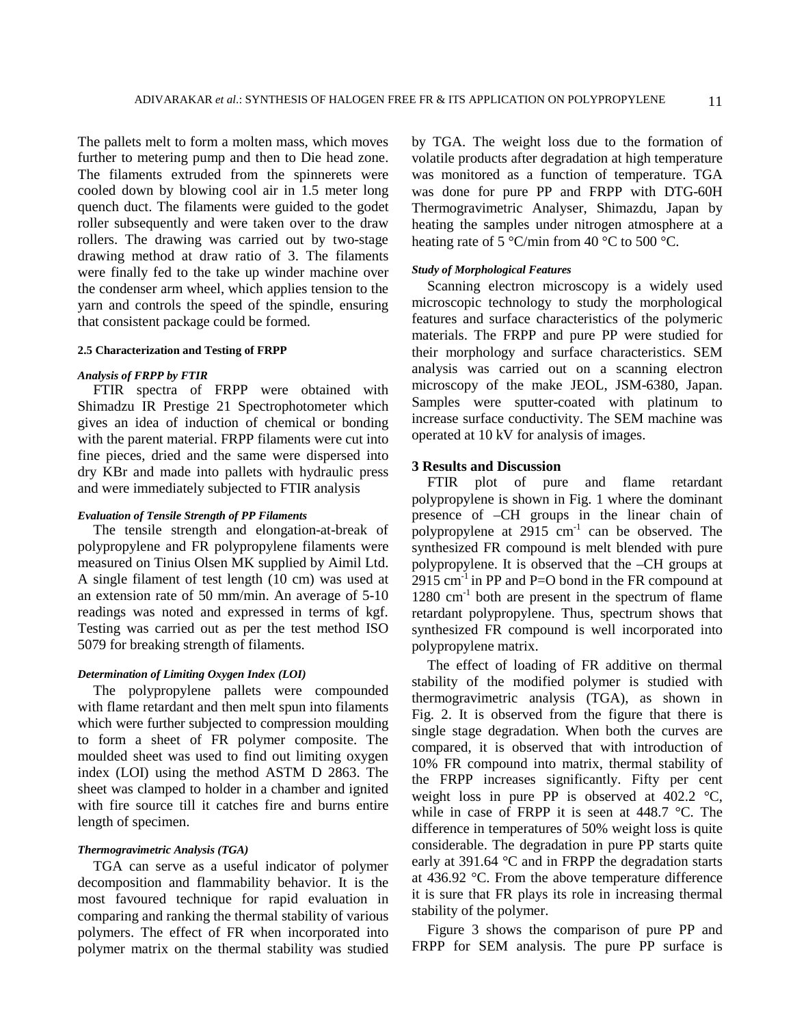The pallets melt to form a molten mass, which moves further to metering pump and then to Die head zone. The filaments extruded from the spinnerets were cooled down by blowing cool air in 1.5 meter long quench duct. The filaments were guided to the godet roller subsequently and were taken over to the draw rollers. The drawing was carried out by two-stage drawing method at draw ratio of 3. The filaments were finally fed to the take up winder machine over the condenser arm wheel, which applies tension to the yarn and controls the speed of the spindle, ensuring that consistent package could be formed.

## **2.5 Characterization and Testing of FRPP**

#### *Analysis of FRPP by FTIR*

FTIR spectra of FRPP were obtained with Shimadzu IR Prestige 21 Spectrophotometer which gives an idea of induction of chemical or bonding with the parent material. FRPP filaments were cut into fine pieces, dried and the same were dispersed into dry KBr and made into pallets with hydraulic press and were immediately subjected to FTIR analysis

## *Evaluation of Tensile Strength of PP Filaments*

The tensile strength and elongation-at-break of polypropylene and FR polypropylene filaments were measured on Tinius Olsen MK supplied by Aimil Ltd. A single filament of test length (10 cm) was used at an extension rate of 50 mm/min. An average of 5-10 readings was noted and expressed in terms of kgf. Testing was carried out as per the test method ISO 5079 for breaking strength of filaments.

# *Determination of Limiting Oxygen Index (LOI)*

The polypropylene pallets were compounded with flame retardant and then melt spun into filaments which were further subjected to compression moulding to form a sheet of FR polymer composite. The moulded sheet was used to find out limiting oxygen index (LOI) using the method ASTM D 2863. The sheet was clamped to holder in a chamber and ignited with fire source till it catches fire and burns entire length of specimen.

#### *Thermogravimetric Analysis (TGA)*

TGA can serve as a useful indicator of polymer decomposition and flammability behavior. It is the most favoured technique for rapid evaluation in comparing and ranking the thermal stability of various polymers. The effect of FR when incorporated into polymer matrix on the thermal stability was studied

by TGA. The weight loss due to the formation of volatile products after degradation at high temperature was monitored as a function of temperature. TGA was done for pure PP and FRPP with DTG-60H Thermogravimetric Analyser, Shimazdu, Japan by heating the samples under nitrogen atmosphere at a heating rate of 5 °C/min from 40 °C to 500 °C.

## *Study of Morphological Features*

Scanning electron microscopy is a widely used microscopic technology to study the morphological features and surface characteristics of the polymeric materials. The FRPP and pure PP were studied for their morphology and surface characteristics. SEM analysis was carried out on a scanning electron microscopy of the make JEOL, JSM-6380, Japan. Samples were sputter-coated with platinum to increase surface conductivity. The SEM machine was operated at 10 kV for analysis of images.

## **3 Results and Discussion**

FTIR plot of pure and flame retardant polypropylene is shown in Fig. 1 where the dominant presence of –CH groups in the linear chain of polypropylene at  $2915 \text{ cm}^{-1}$  can be observed. The synthesized FR compound is melt blended with pure polypropylene. It is observed that the –CH groups at  $2915$  cm<sup>-1</sup> in PP and P=O bond in the FR compound at  $1280 \text{ cm}^{-1}$  both are present in the spectrum of flame retardant polypropylene. Thus, spectrum shows that synthesized FR compound is well incorporated into polypropylene matrix.

The effect of loading of FR additive on thermal stability of the modified polymer is studied with thermogravimetric analysis (TGA), as shown in Fig. 2. It is observed from the figure that there is single stage degradation. When both the curves are compared, it is observed that with introduction of 10% FR compound into matrix, thermal stability of the FRPP increases significantly. Fifty per cent weight loss in pure PP is observed at  $402.2 \text{ °C}$ , while in case of FRPP it is seen at 448.7 °C. The difference in temperatures of 50% weight loss is quite considerable. The degradation in pure PP starts quite early at 391.64 °C and in FRPP the degradation starts at 436.92 °C. From the above temperature difference it is sure that FR plays its role in increasing thermal stability of the polymer.

Figure 3 shows the comparison of pure PP and FRPP for SEM analysis. The pure PP surface is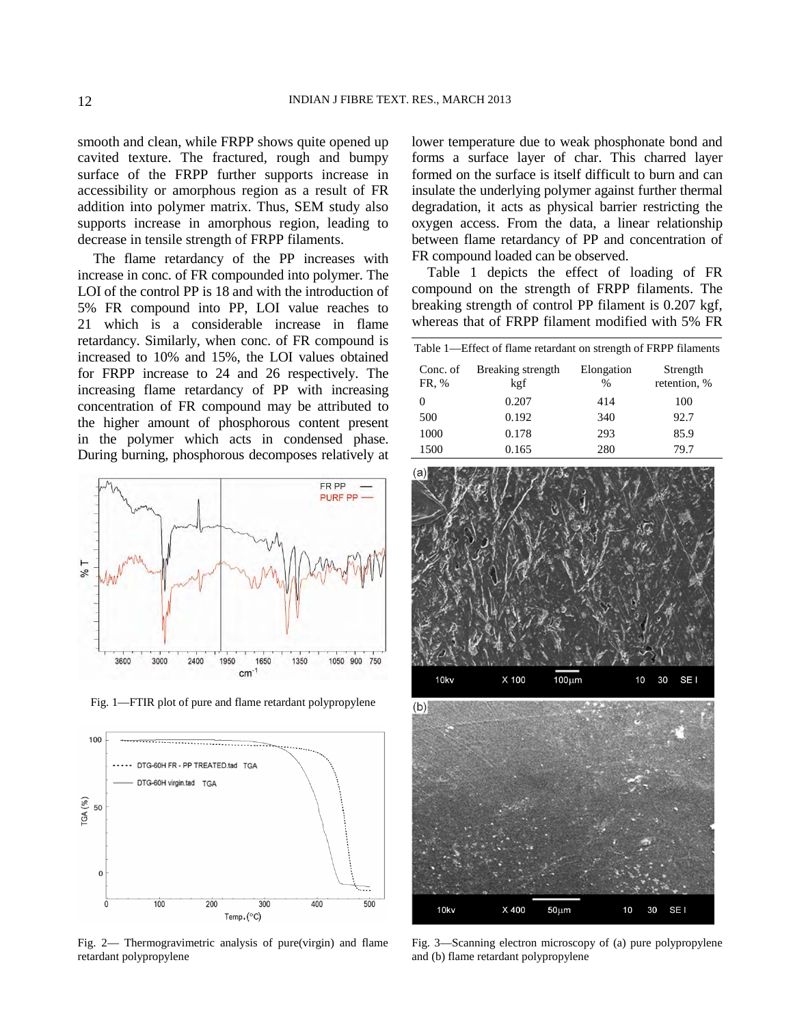smooth and clean, while FRPP shows quite opened up cavited texture. The fractured, rough and bumpy surface of the FRPP further supports increase in accessibility or amorphous region as a result of FR addition into polymer matrix. Thus, SEM study also supports increase in amorphous region, leading to decrease in tensile strength of FRPP filaments.

The flame retardancy of the PP increases with increase in conc. of FR compounded into polymer. The LOI of the control PP is 18 and with the introduction of 5% FR compound into PP, LOI value reaches to 21 which is a considerable increase in flame retardancy. Similarly, when conc. of FR compound is increased to 10% and 15%, the LOI values obtained for FRPP increase to 24 and 26 respectively. The increasing flame retardancy of PP with increasing concentration of FR compound may be attributed to the higher amount of phosphorous content present in the polymer which acts in condensed phase. During burning, phosphorous decomposes relatively at



Fig. 1—FTIR plot of pure and flame retardant polypropylene



Fig. 2— Thermogravimetric analysis of pure(virgin) and flame retardant polypropylene

lower temperature due to weak phosphonate bond and forms a surface layer of char. This charred layer formed on the surface is itself difficult to burn and can insulate the underlying polymer against further thermal degradation, it acts as physical barrier restricting the oxygen access. From the data, a linear relationship between flame retardancy of PP and concentration of FR compound loaded can be observed.

Table 1 depicts the effect of loading of FR compound on the strength of FRPP filaments. The breaking strength of control PP filament is 0.207 kgf, whereas that of FRPP filament modified with 5% FR

| Table 1—Effect of flame retardant on strength of FRPP filaments |                          |                             |                          |
|-----------------------------------------------------------------|--------------------------|-----------------------------|--------------------------|
| Conc. of<br>FR, %                                               | Breaking strength<br>kgf | Elongation<br>$\frac{0}{0}$ | Strength<br>retention, % |
|                                                                 | 0.207                    | 414                         | 100                      |
| 500                                                             | 0.192                    | 340                         | 92.7                     |
| 1000                                                            | 0.178                    | 293                         | 85.9                     |
| 1500                                                            | 0.165                    | 280                         | 79.7                     |



Fig. 3—Scanning electron microscopy of (a) pure polypropylene and (b) flame retardant polypropylene

 $50 \mu m$ 

30 SE I

10

X400

10kv